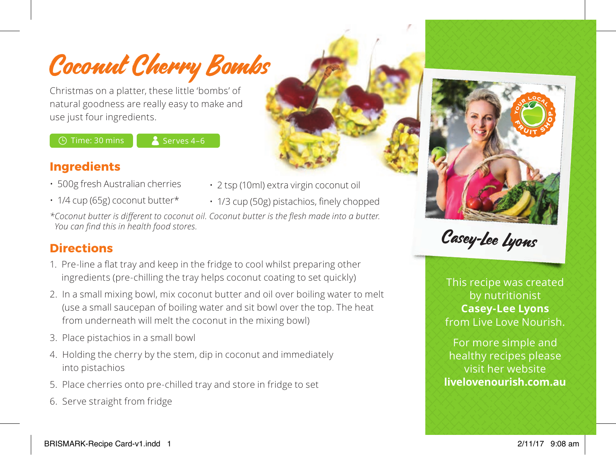Coconut Cherry Bombs

Christmas on a platter, these little 'bombs' of natural goodness are really easy to make and use just four ingredients.

 $\bigcirc$  Time: 30 mins  $\bigcirc$  Serves 4–6

### **Ingredients**

• 500g fresh Australian cherries

- 
- 2 tsp (10ml) extra virgin coconut oil
- 1/4 cup (65g) coconut butter\*
- 1/3 cup (50g) pistachios, finely chopped

*\*Coconut butter is different to coconut oil. Coconut butter is the flesh made into a butter. You can find this in health food stores.*

# **Directions**

- 1. Pre-line a flat tray and keep in the fridge to cool whilst preparing other ingredients (pre-chilling the tray helps coconut coating to set quickly)
- 2. In a small mixing bowl, mix coconut butter and oil over boiling water to melt (use a small saucepan of boiling water and sit bowl over the top. The heat from underneath will melt the coconut in the mixing bowl)
- 3. Place pistachios in a small bowl
- 4. Holding the cherry by the stem, dip in coconut and immediately into pistachios
- 5. Place cherries onto pre-chilled tray and store in fridge to set
- 6. Serve straight from fridge



Casey-Lee Lyons

This recipe was created by nutritionist **Casey-Lee Lyons** from Live Love Nourish.

For more simple and healthy recipes please visit her website **livelovenourish.com.au**